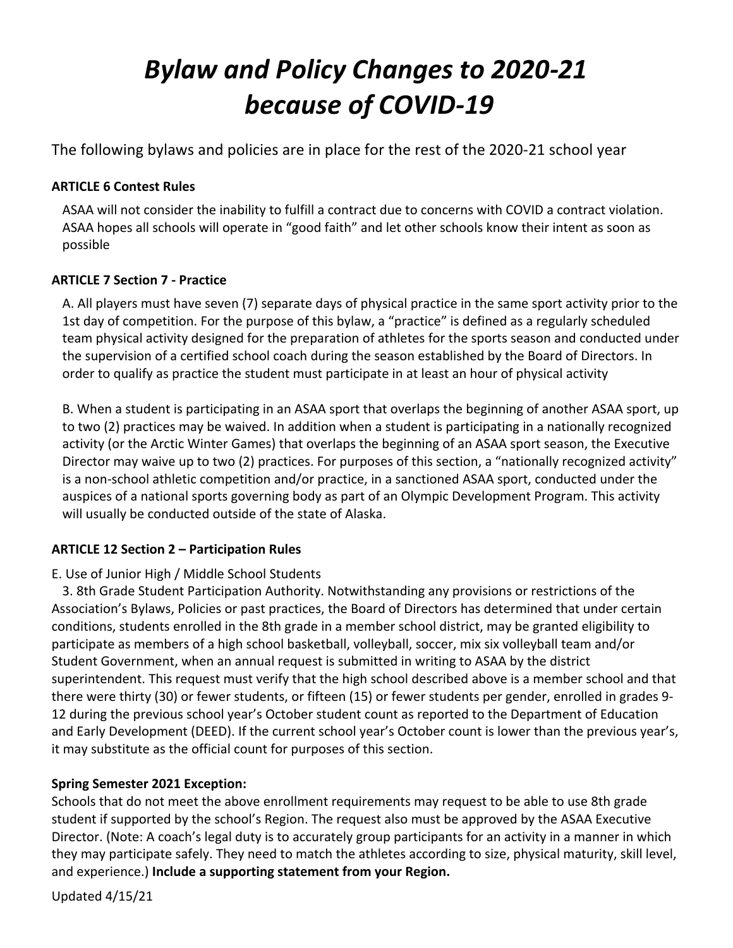# *Bylaw and Policy Changes to 2020-21 because of COVID-19*

The following bylaws and policies are in place for the rest of the 2020-21 school year

# **ARTICLE 6 Contest Rules**

ASAA will not consider the inability to fulfill a contract due to concerns with COVID a contract violation. ASAA hopes all schools will operate in "good faith" and let other schools know their intent as soon as possible

# **ARTICLE 7 Section 7 - Practice**

A. All players must have seven (7) separate days of physical practice in the same sport activity prior to the 1st day of competition. For the purpose of this bylaw, a "practice" is defined as a regularly scheduled team physical activity designed for the preparation of athletes for the sports season and conducted under the supervision of a certified school coach during the season established by the Board of Directors. In order to qualify as practice the student must participate in at least an hour of physical activity

B. When a student is participating in an ASAA sport that overlaps the beginning of another ASAA sport, up to two (2) practices may be waived. In addition when a student is participating in a nationally recognized activity (or the Arctic Winter Games) that overlaps the beginning of an ASAA sport season, the Executive Director may waive up to two (2) practices. For purposes of this section, a "nationally recognized activity" is a non-school athletic competition and/or practice, in a sanctioned ASAA sport, conducted under the auspices of a national sports governing body as part of an Olympic Development Program. This activity will usually be conducted outside of the state of Alaska.

# **ARTICLE 12 Section 2 – Participation Rules**

# E. Use of Junior High / Middle School Students

3. 8th Grade Student Participation Authority. Notwithstanding any provisions or restrictions of the Association's Bylaws, Policies or past practices, the Board of Directors has determined that under certain conditions, students enrolled in the 8th grade in a member school district, may be granted eligibility to participate as members of a high school basketball, volleyball, soccer, mix six volleyball team and/or Student Government, when an annual request is submitted in writing to ASAA by the district superintendent. This request must verify that the high school described above is a member school and that there were thirty (30) or fewer students, or fifteen (15) or fewer students per gender, enrolled in grades 9- 12 during the previous school year's October student count as reported to the Department of Education and Early Development (DEED). If the current school year's October count is lower than the previous year's, it may substitute as the official count for purposes of this section.

# **Spring Semester 2021 Exception:**

Schools that do not meet the above enrollment requirements may request to be able to use 8th grade student if supported by the school's Region. The request also must be approved by the ASAA Executive Director. (Note: A coach's legal duty is to accurately group participants for an activity in a manner in which they may participate safely. They need to match the athletes according to size, physical maturity, skill level, and experience.) **Include a supporting statement from your Region.** 

Updated 4/15/21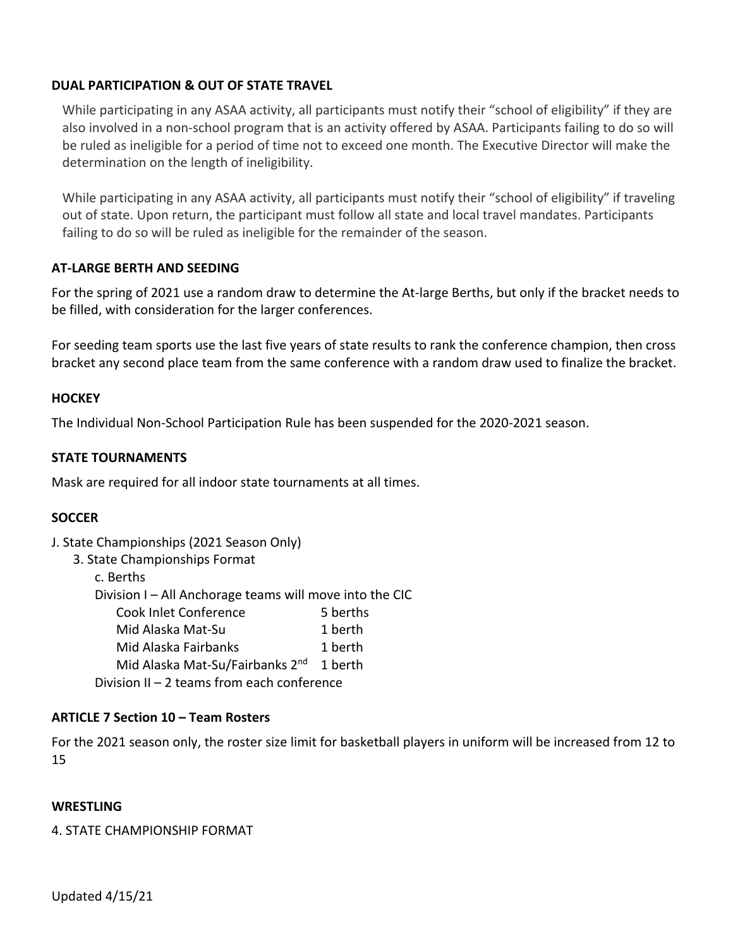## **DUAL PARTICIPATION & OUT OF STATE TRAVEL**

While participating in any ASAA activity, all participants must notify their "school of eligibility" if they are also involved in a non-school program that is an activity offered by ASAA. Participants failing to do so will be ruled as ineligible for a period of time not to exceed one month. The Executive Director will make the determination on the length of ineligibility.

While participating in any ASAA activity, all participants must notify their "school of eligibility" if traveling out of state. Upon return, the participant must follow all state and local travel mandates. Participants failing to do so will be ruled as ineligible for the remainder of the season.

## **AT-LARGE BERTH AND SEEDING**

For the spring of 2021 use a random draw to determine the At-large Berths, but only if the bracket needs to be filled, with consideration for the larger conferences.

For seeding team sports use the last five years of state results to rank the conference champion, then cross bracket any second place team from the same conference with a random draw used to finalize the bracket.

#### **HOCKEY**

The Individual Non-School Participation Rule has been suspended for the 2020-2021 season.

#### **STATE TOURNAMENTS**

Mask are required for all indoor state tournaments at all times.

#### **SOCCER**

- J. State Championships (2021 Season Only)
	- 3. State Championships Format
		- c. Berths

Division I – All Anchorage teams will move into the CIC

| Cook Inlet Conference | 5 berths |
|-----------------------|----------|
| Mid Alaska Mat-Su     | 1 berth  |

- Mid Alaska Fairbanks 1 berth
- Mid Alaska Mat-Su/Fairbanks 2<sup>nd</sup> 1 berth

Division II – 2 teams from each conference

#### **ARTICLE 7 Section 10 – Team Rosters**

For the 2021 season only, the roster size limit for basketball players in uniform will be increased from 12 to 15

#### **WRESTLING**

4. STATE CHAMPIONSHIP FORMAT